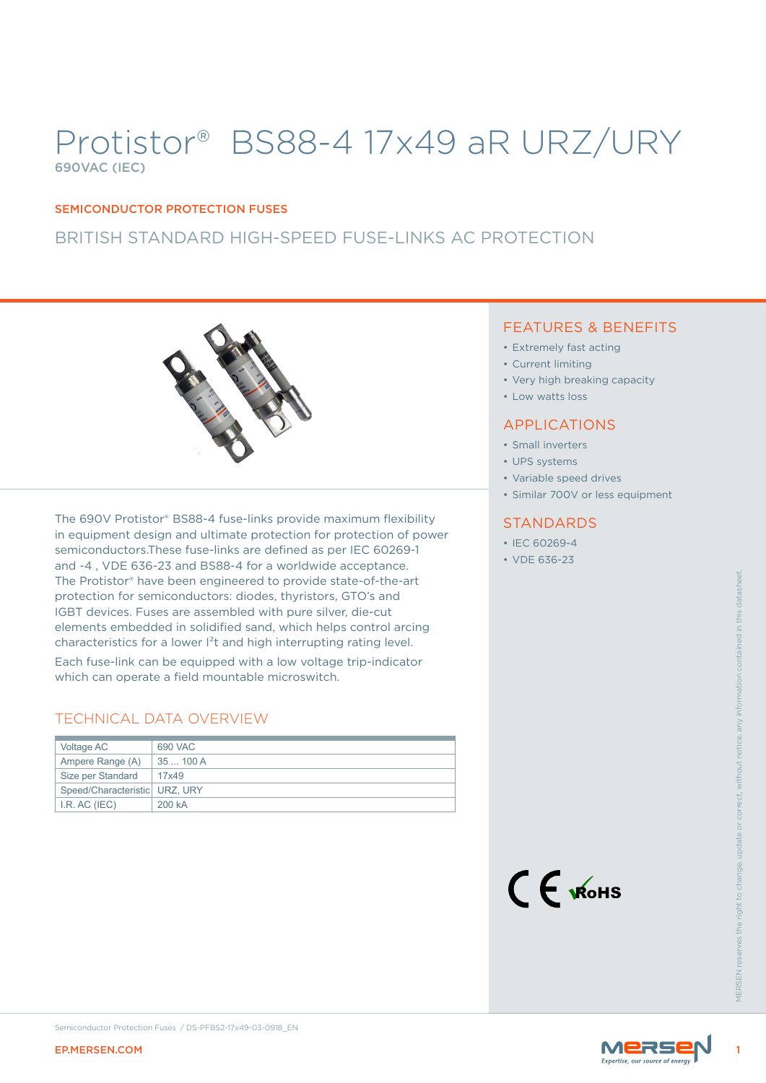# Protistor® BS88-4 17x49 aR URZ/URY 690VAC (IEC)

#### SEMICONDUCTOR PROTECTION FUSES

### BRITISH STANDARD HIGH-SPEED FUSE-LINKS AC PROTECTION



The Proising that may be a mean pingered to provide state of the rant<br>
contact the right devices. Fuses are assembled with the reserves the e-tut<br>
discrete right to change in the right of the right of the right of the righ The 690V Protistor® BS88-4 fuse-links provide maximum flexibility in equipment design and ultimate protection for protection of power semiconductors.These fuse-links are defined as per IEC 60269-1 and -4 , VDE 636-23 and BS88-4 for a worldwide acceptance. The Protistor® have been engineered to provide state-of-the-art protection for semiconductors: diodes, thyristors, GTO's and IGBT devices. Fuses are assembled with pure silver, die-cut elements embedded in solidified sand, which helps control arcing characteristics for a lower I²t and high interrupting rating level.

Each fuse-link can be equipped with a low voltage trip-indicator which can operate a field mountable microswitch.

### TECHNICAL DATA OVERVIEW

| Voltage AC                      | 690 VAC   |
|---------------------------------|-----------|
|                                 |           |
| Ampere Range (A)                | 35  100 A |
| Size per Standard               | 17x49     |
| Speed/Characteristic   URZ, URY |           |
| I.R. AC (IEC)                   | 200 kA    |

### FEATURES & BENEFITS

- Extremely fast acting
- Current limiting
- Very high breaking capacity
- Low watts loss

### APPLICATIONS

- Small inverters
- UPS systems
- Variable speed drives
- Similar 700V or less equipment

#### **STANDARDS**

- IEC 60269-4
- VDE 636-23



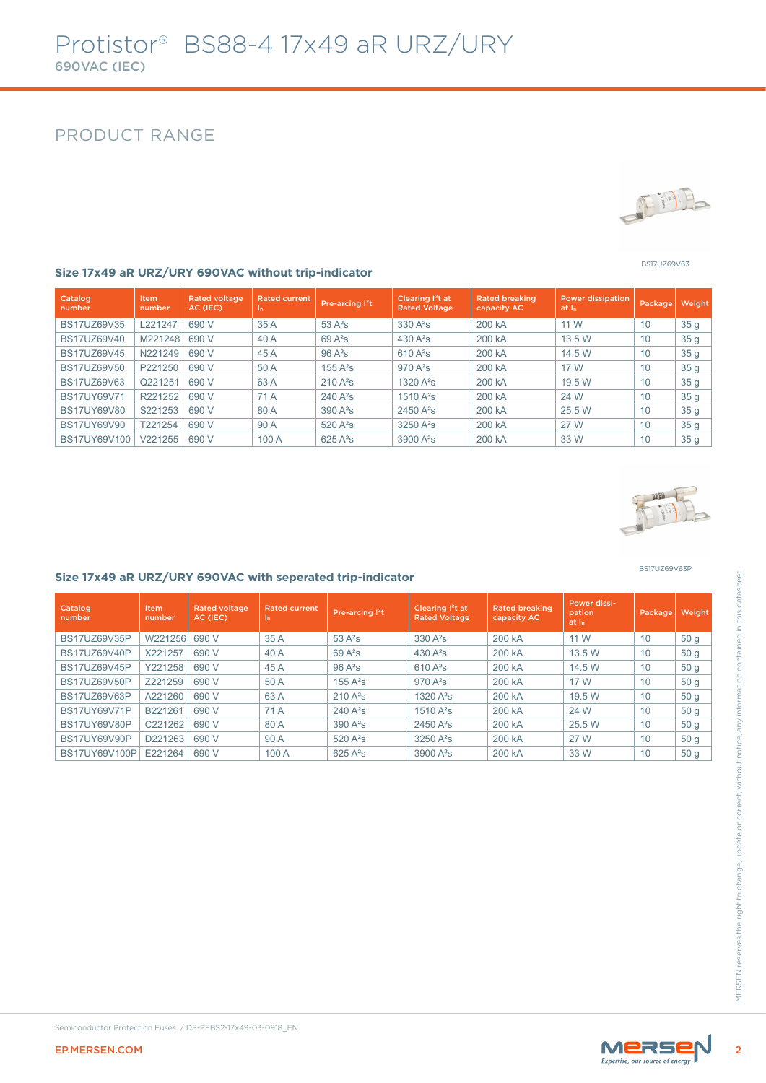### PRODUCT RANGE



BS17UZ69V63

#### **Size 17x49 aR URZ/URY 690VAC without trip-indicator**

| Catalog<br>number  | Item<br>number | <b>Rated voltage</b><br>AC (IEC) | <b>Rated current</b><br>In. | Pre-arcing I <sup>2</sup> t | Clearing I <sup>2</sup> t at<br><b>Rated Voltage</b> | <b>Rated breaking</b><br>capacity AC | <b>Power dissipation</b><br>at I <sub>n</sub> | Package | Weight          |
|--------------------|----------------|----------------------------------|-----------------------------|-----------------------------|------------------------------------------------------|--------------------------------------|-----------------------------------------------|---------|-----------------|
| <b>BS17UZ69V35</b> | L221247        | 690 V                            | 35 A                        | $53A^2s$                    | $330A^2s$                                            | 200 kA                               | 11 W                                          | 10      | 35 <sub>g</sub> |
| BS17UZ69V40        | M221248        | 690 V                            | 40 A                        | $69A^2s$                    | 430 $A^2S$                                           | 200 kA                               | 13.5 W                                        | 10      | 35 <sub>g</sub> |
| <b>BS17UZ69V45</b> | N221249        | 690 V                            | 45A                         | $96A^2s$                    | $610A^2s$                                            | 200 kA                               | 14.5 W                                        | 10      | 35 <sub>g</sub> |
| BS17UZ69V50        | P221250        | 690 V                            | 50 A                        | $155A^2s$                   | $970A^2s$                                            | 200 kA                               | 17 W                                          | 10      | 35 <sub>g</sub> |
| BS17UZ69V63        | Q221251        | 690 V                            | 63A                         | $210A^2s$                   | 1320 $A^2S$                                          | 200 kA                               | 19.5 W                                        | 10      | 35 <sub>g</sub> |
| <b>BS17UY69V71</b> | R221252        | 690 V                            | 71 A                        | $240A^2s$                   | $1510A^2s$                                           | 200 kA                               | 24 W                                          | 10      | 35 <sub>g</sub> |
| <b>BS17UY69V80</b> | S221253        | 690 V                            | 80 A                        | $390A^2s$                   | $2450A^2s$                                           | 200 kA                               | 25.5 W                                        | 10      | 35 <sub>g</sub> |
| <b>BS17UY69V90</b> | T221254        | 690 V                            | 90 A                        | $520A^2s$                   | $3250A^2s$                                           | 200 kA                               | 27 W                                          | 10      | 35 <sub>g</sub> |
| BS17UY69V100       | V221255        | 690 V                            | 100 A                       | $625A^2s$                   | $3900A^2s$                                           | 200 kA                               | 33 W                                          | 10      | 35 <sub>g</sub> |



BS17UZ69V63P

#### **Size 17x49 aR URZ/URY 690VAC with seperated trip-indicator**

| Catalog<br>number   | Item<br>number | <b>Rated voltage</b><br>AC (IEC) | <b>Rated current</b><br>$\mathbf{I}_{n}$ | Pre-arcing I <sup>2</sup> t | Clearing I <sup>2</sup> t at<br><b>Rated Voltage</b> | <b>Rated breaking</b><br>capacity AC | Power dissi-<br>pation<br>at <sub>h</sub> | Package | Weight          |
|---------------------|----------------|----------------------------------|------------------------------------------|-----------------------------|------------------------------------------------------|--------------------------------------|-------------------------------------------|---------|-----------------|
| BS17UZ69V35P        | W221256 690 V  |                                  | 35 A                                     | $53A^2s$                    | 330 A <sup>2</sup> s                                 | 200 kA                               | 11 W                                      | 10      | 50 <sub>g</sub> |
| <b>BS17UZ69V40P</b> | X221257        | 690 V                            | 40 A                                     | $69A^2s$                    | 430 $A^2S$                                           | 200 kA                               | 13.5 W                                    | 10      | 50 <sub>g</sub> |
| <b>BS17UZ69V45P</b> | Y221258        | 690 V                            | 45 A                                     | $96A^2s$                    | $610A^2s$                                            | 200 kA                               | 14.5 W                                    | 10      | 50 <sub>g</sub> |
| <b>BS17UZ69V50P</b> | Z221259        | 690 V                            | 50 A                                     | $155A^2s$                   | $970A^2s$                                            | 200 kA                               | 17 W                                      | 10      | 50 <sub>g</sub> |
| <b>BS17UZ69V63P</b> | A221260        | 690 V                            | 63A                                      | $210A^2s$                   | 1320 $A^2S$                                          | 200 kA                               | 19.5 W                                    | 10      | 50 <sub>g</sub> |
| <b>BS17UY69V71P</b> | B221261        | 690 V                            | 71 A                                     | $240A^2s$                   | $1510A^2s$                                           | 200 kA                               | 24 W                                      | 10      | 50 <sub>g</sub> |
| <b>BS17UY69V80P</b> | C221262        | 690 V                            | 80 A                                     | $390A^2s$                   | 2450 A <sup>2</sup> s                                | 200 kA                               | 25.5 W                                    | 10      | 50q             |
| BS17UY69V90P        | D221263        | 690 V                            | 90 A                                     | 520 A <sup>2</sup> s        | $3250A^2s$                                           | 200 kA                               | 27 W                                      | 10      | 50 <sub>g</sub> |
| BS17UY69V100P       | E221264        | 690 V                            | 100 A                                    | $625A^2s$                   | 3900 A <sup>2</sup> s                                | 200 kA                               | 33 W                                      | 10      | 50 <sub>g</sub> |
|                     |                |                                  |                                          |                             |                                                      |                                      |                                           |         |                 |
|                     |                |                                  |                                          |                             |                                                      |                                      |                                           |         |                 |

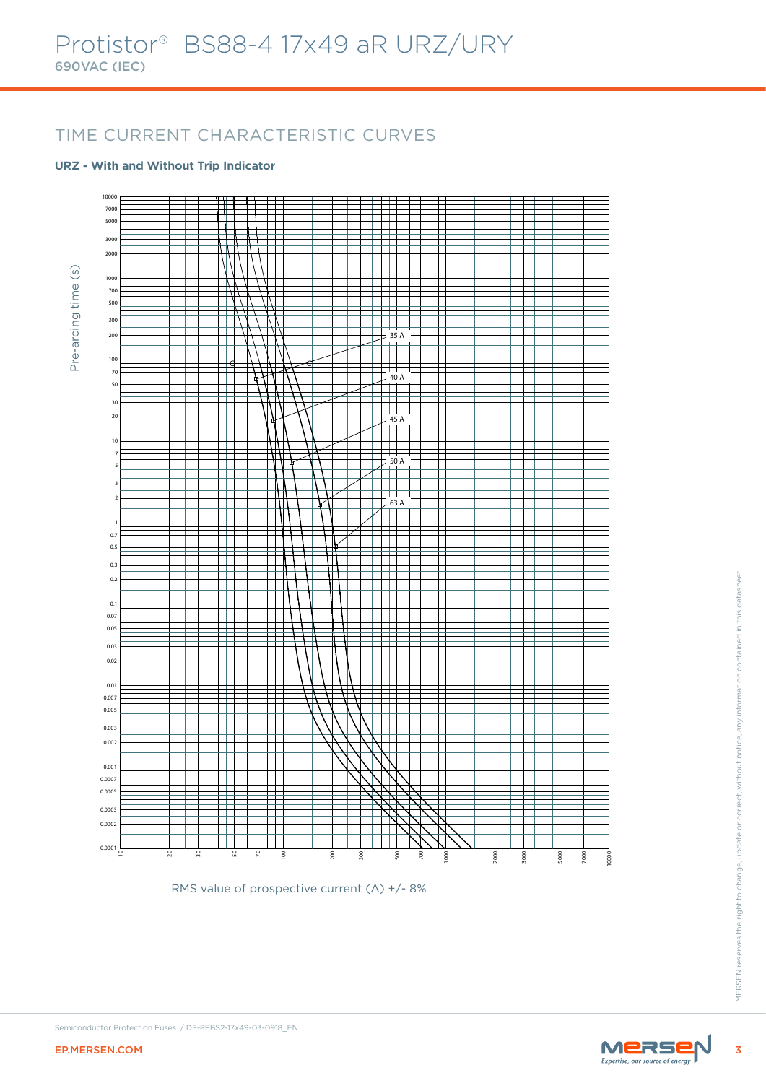### TIME CURRENT CHARACTERISTIC CURVES

#### **URZ - With and Without Trip Indicator**



RMS value of prospective current (A) +/- 8%

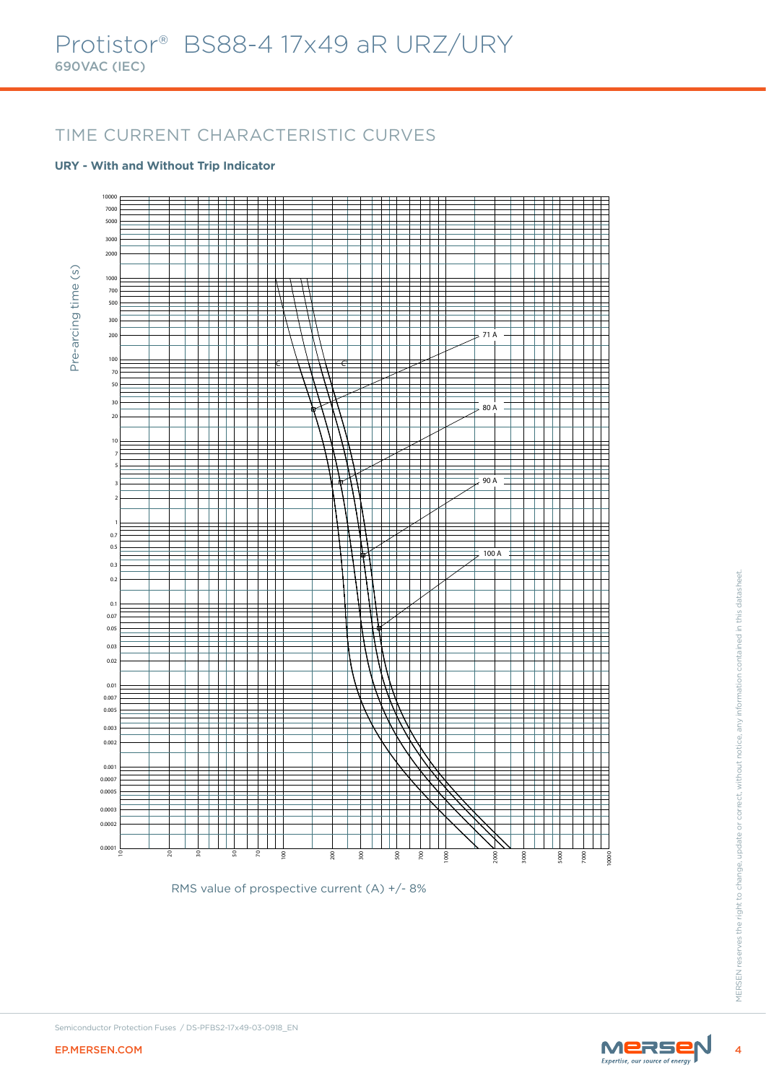### TIME CURRENT CHARACTERISTIC CURVES

#### **URY - With and Without Trip Indicator**



RMS value of prospective current (A) +/- 8%

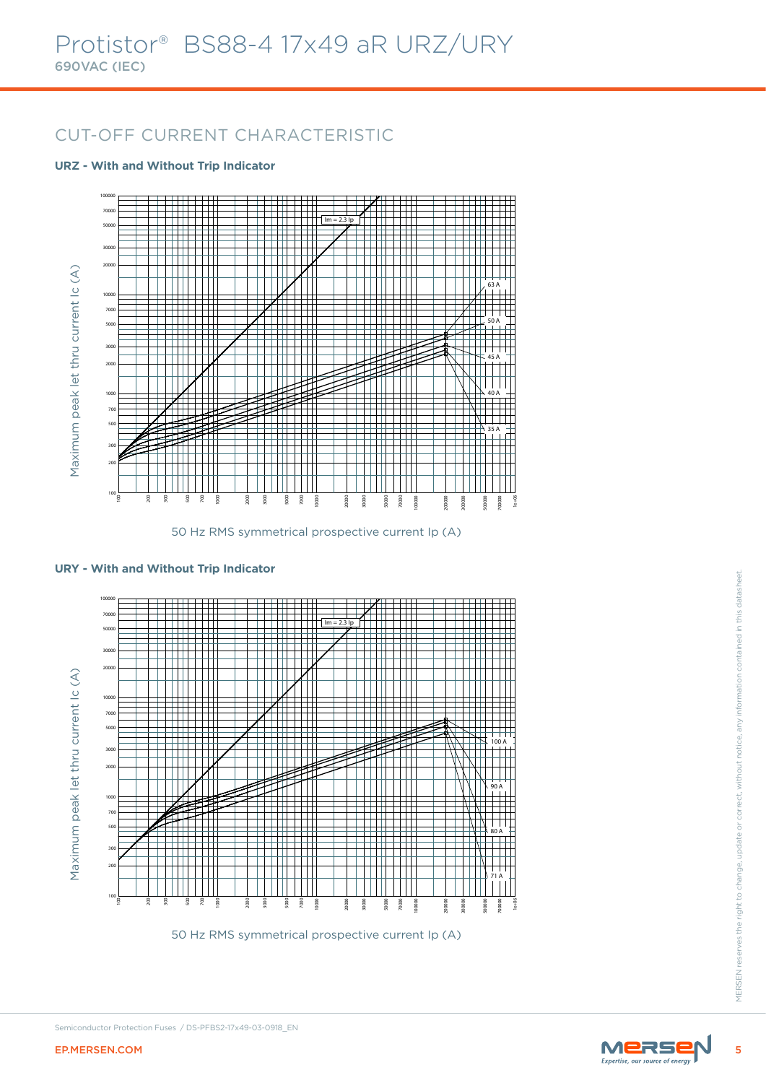# CUT-OFF CURRENT CHARACTERISTIC

#### **URZ - With and Without Trip Indicator**



50 Hz RMS symmetrical prospective current Ip (A)



**URY - With and Without Trip Indicator**

50 Hz RMS symmetrical prospective current Ip (A)

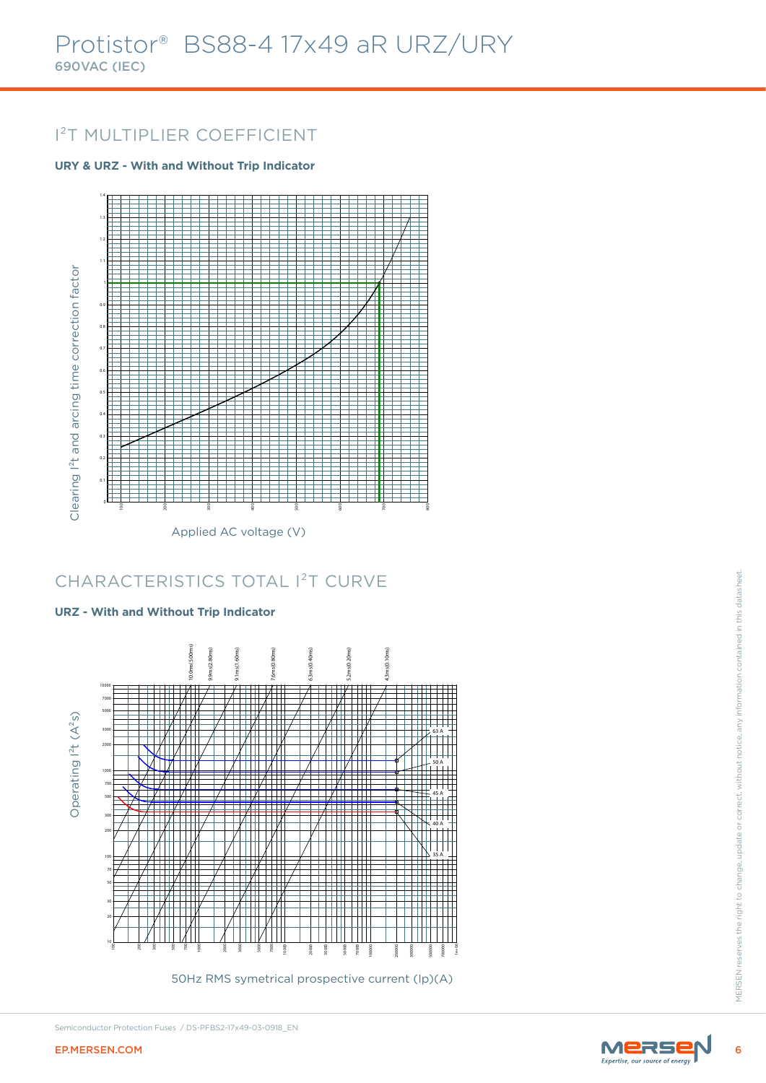# I²T MULTIPLIER COEFFICIENT

### **URY & URZ - With and Without Trip Indicator**



# CHARACTERISTICS TOTAL I²T CURVE

### **URZ - With and Without Trip Indicator**



50Hz RMS symetrical prospective current (Ip)(A)





Semiconductor Protection Fuses / DS-PFBS2-17x49-03-0918\_EN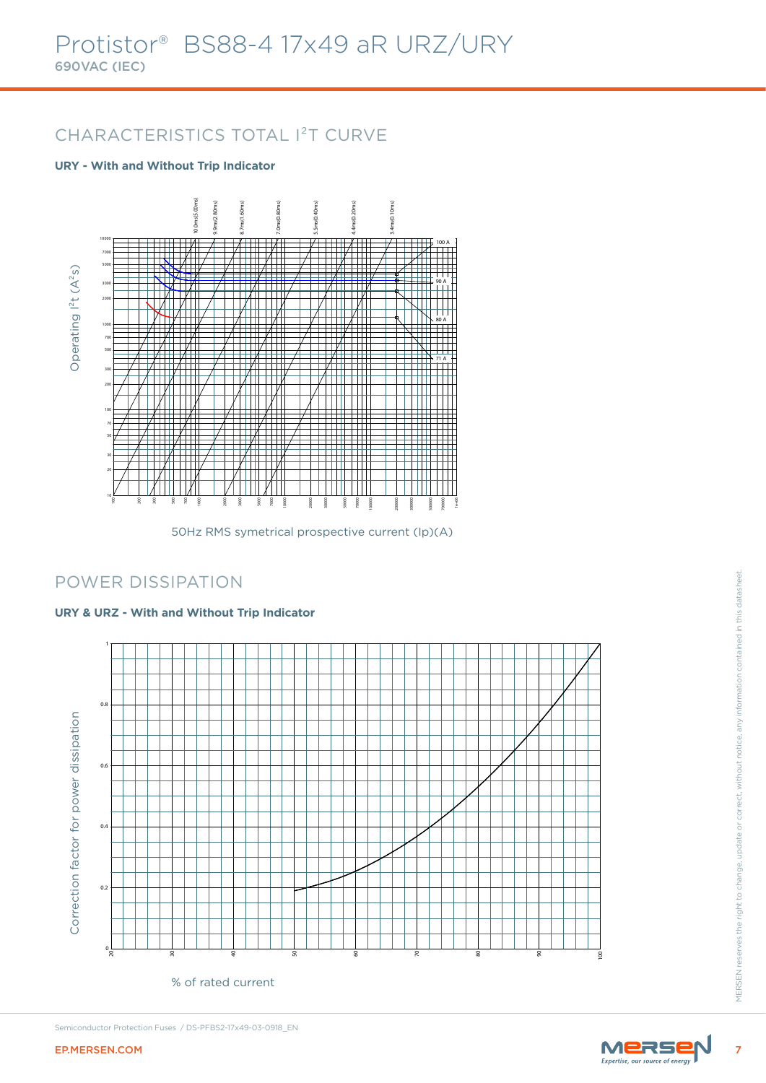# CHARACTERISTICS TOTAL I²T CURVE

### **URY - With and Without Trip Indicator**



50Hz RMS symetrical prospective current (Ip)(A)

### POWER DISSIPATION

### **URY & URZ - With and Without Trip Indicator**



% of rated current



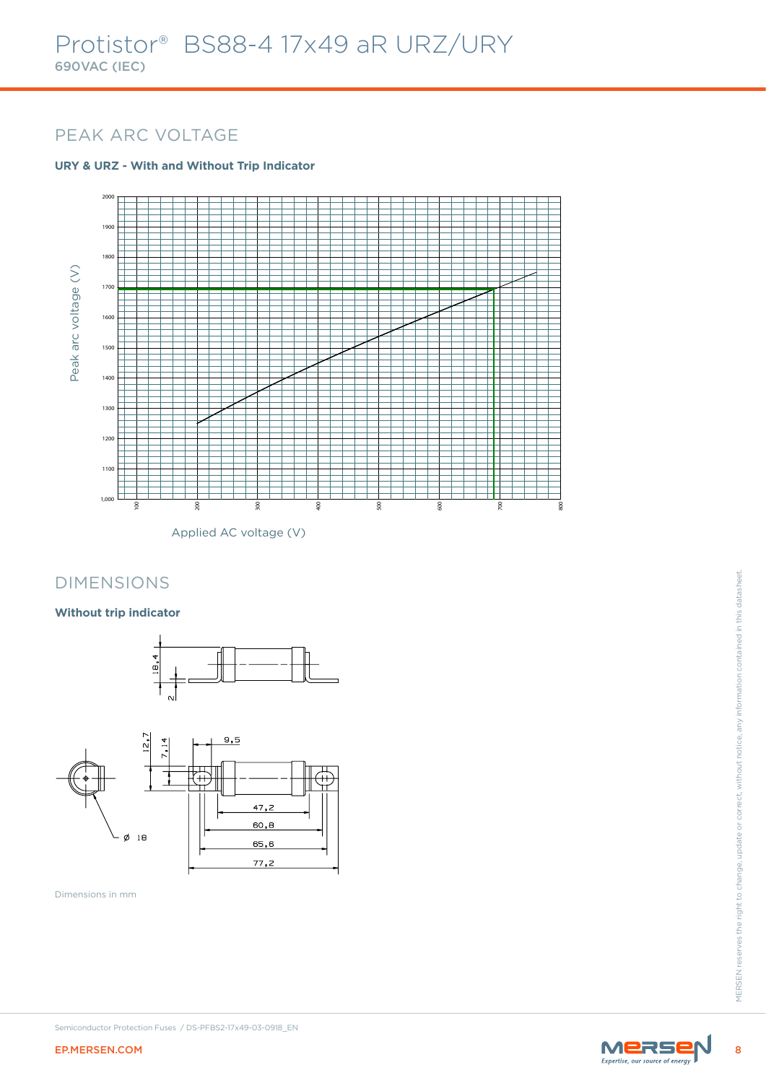### PEAK ARC VOLTAGE

### **URY & URZ - With and Without Trip Indicator**



Applied AC voltage (V)

### DIMENSIONS

### **Without trip indicator**





Dimensions in mm